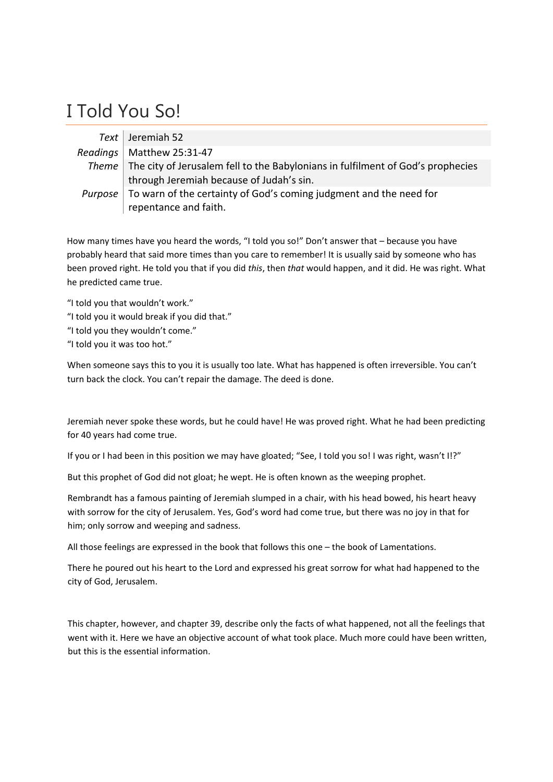## I Told You So!

| Text Jeremiah 52                                                                        |
|-----------------------------------------------------------------------------------------|
| Readings   Matthew 25:31-47                                                             |
| Theme   The city of Jerusalem fell to the Babylonians in fulfilment of God's prophecies |
| through Jeremiah because of Judah's sin.                                                |
| Purpose   To warn of the certainty of God's coming judgment and the need for            |
| repentance and faith.                                                                   |

How many times have you heard the words, "I told you so!" Don't answer that – because you have probably heard that said more times than you care to remember! It is usually said by someone who has been proved right. He told you that if you did *this*, then *that* would happen, and it did. He was right. What he predicted came true.

"I told you that wouldn't work."

- "I told you it would break if you did that."
- "I told you they wouldn't come."
- "I told you it was too hot."

When someone says this to you it is usually too late. What has happened is often irreversible. You can't turn back the clock. You can't repair the damage. The deed is done.

Jeremiah never spoke these words, but he could have! He was proved right. What he had been predicting for 40 years had come true.

If you or I had been in this position we may have gloated; "See, I told you so! I was right, wasn't I!?"

But this prophet of God did not gloat; he wept. He is often known as the weeping prophet.

Rembrandt has a famous painting of Jeremiah slumped in a chair, with his head bowed, his heart heavy with sorrow for the city of Jerusalem. Yes, God's word had come true, but there was no joy in that for him; only sorrow and weeping and sadness.

All those feelings are expressed in the book that follows this one – the book of Lamentations.

There he poured out his heart to the Lord and expressed his great sorrow for what had happened to the city of God, Jerusalem.

This chapter, however, and chapter 39, describe only the facts of what happened, not all the feelings that went with it. Here we have an objective account of what took place. Much more could have been written, but this is the essential information.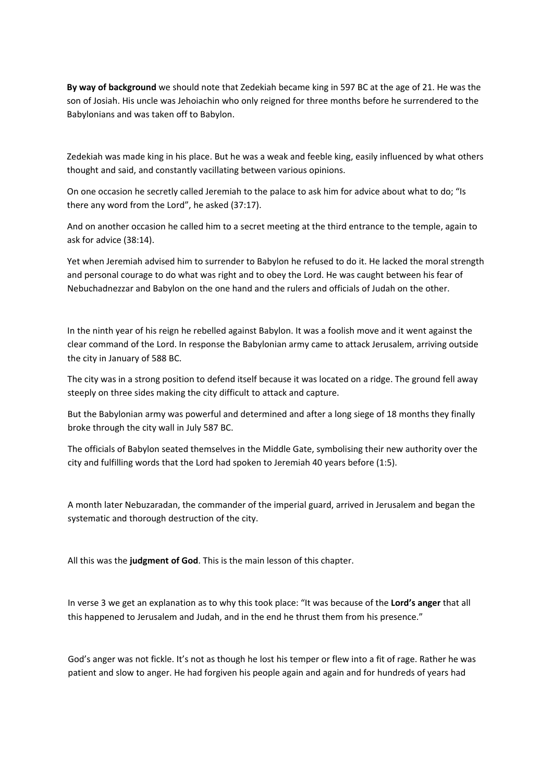**By way of background** we should note that Zedekiah became king in 597 BC at the age of 21. He was the son of Josiah. His uncle was Jehoiachin who only reigned for three months before he surrendered to the Babylonians and was taken off to Babylon.

Zedekiah was made king in his place. But he was a weak and feeble king, easily influenced by what others thought and said, and constantly vacillating between various opinions.

On one occasion he secretly called Jeremiah to the palace to ask him for advice about what to do; "Is there any word from the Lord", he asked (37:17).

And on another occasion he called him to a secret meeting at the third entrance to the temple, again to ask for advice (38:14).

Yet when Jeremiah advised him to surrender to Babylon he refused to do it. He lacked the moral strength and personal courage to do what was right and to obey the Lord. He was caught between his fear of Nebuchadnezzar and Babylon on the one hand and the rulers and officials of Judah on the other.

In the ninth year of his reign he rebelled against Babylon. It was a foolish move and it went against the clear command of the Lord. In response the Babylonian army came to attack Jerusalem, arriving outside the city in January of 588 BC.

The city was in a strong position to defend itself because it was located on a ridge. The ground fell away steeply on three sides making the city difficult to attack and capture.

But the Babylonian army was powerful and determined and after a long siege of 18 months they finally broke through the city wall in July 587 BC.

The officials of Babylon seated themselves in the Middle Gate, symbolising their new authority over the city and fulfilling words that the Lord had spoken to Jeremiah 40 years before (1:5).

A month later Nebuzaradan, the commander of the imperial guard, arrived in Jerusalem and began the systematic and thorough destruction of the city.

All this was the **judgment of God**. This is the main lesson of this chapter.

In verse 3 we get an explanation as to why this took place: "It was because of the **Lord's anger** that all this happened to Jerusalem and Judah, and in the end he thrust them from his presence."

God's anger was not fickle. It's not as though he lost his temper or flew into a fit of rage. Rather he was patient and slow to anger. He had forgiven his people again and again and for hundreds of years had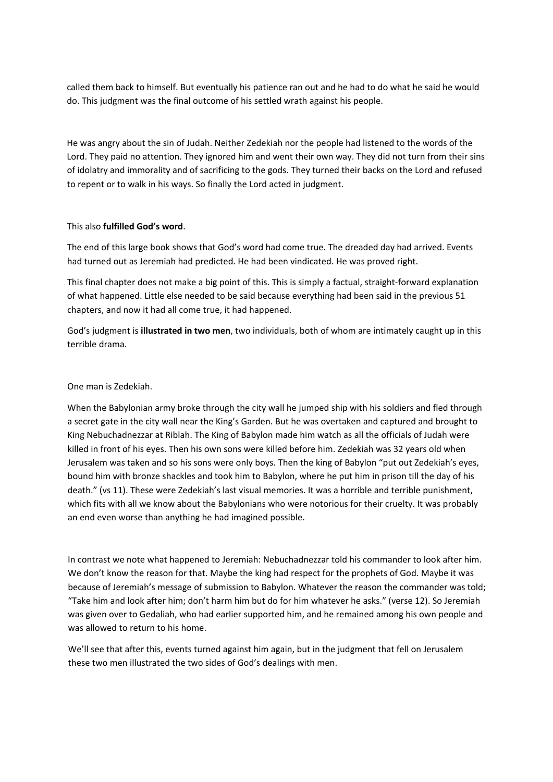called them back to himself. But eventually his patience ran out and he had to do what he said he would do. This judgment was the final outcome of his settled wrath against his people.

He was angry about the sin of Judah. Neither Zedekiah nor the people had listened to the words of the Lord. They paid no attention. They ignored him and went their own way. They did not turn from their sins of idolatry and immorality and of sacrificing to the gods. They turned their backs on the Lord and refused to repent or to walk in his ways. So finally the Lord acted in judgment.

## This also **fulfilled God's word**.

The end of this large book shows that God's word had come true. The dreaded day had arrived. Events had turned out as Jeremiah had predicted. He had been vindicated. He was proved right.

This final chapter does not make a big point of this. This is simply a factual, straight‐forward explanation of what happened. Little else needed to be said because everything had been said in the previous 51 chapters, and now it had all come true, it had happened.

God's judgment is **illustrated in two men**, two individuals, both of whom are intimately caught up in this terrible drama.

## One man is Zedekiah.

When the Babylonian army broke through the city wall he jumped ship with his soldiers and fled through a secret gate in the city wall near the King's Garden. But he was overtaken and captured and brought to King Nebuchadnezzar at Riblah. The King of Babylon made him watch as all the officials of Judah were killed in front of his eyes. Then his own sons were killed before him. Zedekiah was 32 years old when Jerusalem was taken and so his sons were only boys. Then the king of Babylon "put out Zedekiah's eyes, bound him with bronze shackles and took him to Babylon, where he put him in prison till the day of his death." (vs 11). These were Zedekiah's last visual memories. It was a horrible and terrible punishment, which fits with all we know about the Babylonians who were notorious for their cruelty. It was probably an end even worse than anything he had imagined possible.

In contrast we note what happened to Jeremiah: Nebuchadnezzar told his commander to look after him. We don't know the reason for that. Maybe the king had respect for the prophets of God. Maybe it was because of Jeremiah's message of submission to Babylon. Whatever the reason the commander was told; "Take him and look after him; don't harm him but do for him whatever he asks." (verse 12). So Jeremiah was given over to Gedaliah, who had earlier supported him, and he remained among his own people and was allowed to return to his home.

We'll see that after this, events turned against him again, but in the judgment that fell on Jerusalem these two men illustrated the two sides of God's dealings with men.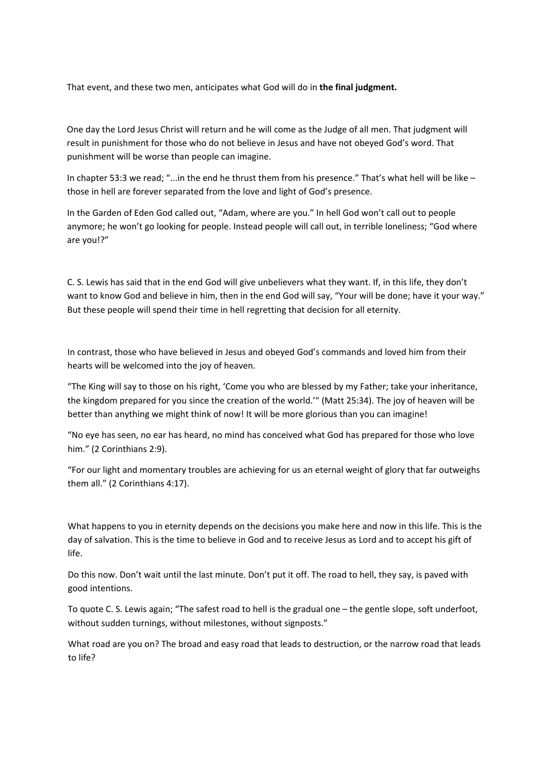That event, and these two men, anticipates what God will do in **the final judgment.**

One day the Lord Jesus Christ will return and he will come as the Judge of all men. That judgment will result in punishment for those who do not believe in Jesus and have not obeyed God's word. That punishment will be worse than people can imagine.

In chapter 53:3 we read; "...in the end he thrust them from his presence." That's what hell will be like – those in hell are forever separated from the love and light of God's presence.

In the Garden of Eden God called out, "Adam, where are you." In hell God won't call out to people anymore; he won't go looking for people. Instead people will call out, in terrible loneliness; "God where are you!?"

C. S. Lewis has said that in the end God will give unbelievers what they want. If, in this life, they don't want to know God and believe in him, then in the end God will say, "Your will be done; have it your way." But these people will spend their time in hell regretting that decision for all eternity.

In contrast, those who have believed in Jesus and obeyed God's commands and loved him from their hearts will be welcomed into the joy of heaven.

"The King will say to those on his right, 'Come you who are blessed by my Father; take your inheritance, the kingdom prepared for you since the creation of the world.'" (Matt 25:34). The joy of heaven will be better than anything we might think of now! It will be more glorious than you can imagine!

"No eye has seen, no ear has heard, no mind has conceived what God has prepared for those who love him." (2 Corinthians 2:9).

"For our light and momentary troubles are achieving for us an eternal weight of glory that far outweighs them all." (2 Corinthians 4:17).

What happens to you in eternity depends on the decisions you make here and now in this life. This is the day of salvation. This is the time to believe in God and to receive Jesus as Lord and to accept his gift of life.

Do this now. Don't wait until the last minute. Don't put it off. The road to hell, they say, is paved with good intentions.

To quote C. S. Lewis again; "The safest road to hell is the gradual one – the gentle slope, soft underfoot, without sudden turnings, without milestones, without signposts."

What road are you on? The broad and easy road that leads to destruction, or the narrow road that leads to life?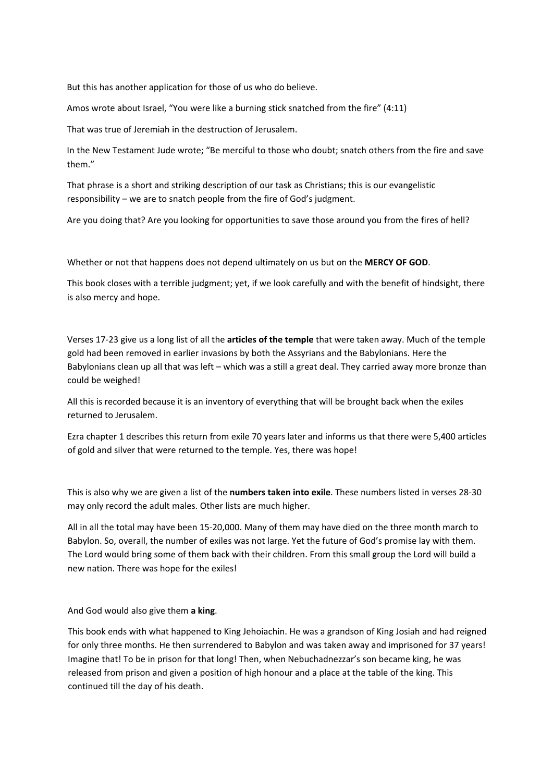But this has another application for those of us who do believe.

Amos wrote about Israel, "You were like a burning stick snatched from the fire" (4:11)

That was true of Jeremiah in the destruction of Jerusalem.

In the New Testament Jude wrote; "Be merciful to those who doubt; snatch others from the fire and save them."

That phrase is a short and striking description of our task as Christians; this is our evangelistic responsibility – we are to snatch people from the fire of God's judgment.

Are you doing that? Are you looking for opportunities to save those around you from the fires of hell?

Whether or not that happens does not depend ultimately on us but on the **MERCY OF GOD**.

This book closes with a terrible judgment; yet, if we look carefully and with the benefit of hindsight, there is also mercy and hope.

Verses 17‐23 give us a long list of all the **articles of the temple** that were taken away. Much of the temple gold had been removed in earlier invasions by both the Assyrians and the Babylonians. Here the Babylonians clean up all that was left – which was a still a great deal. They carried away more bronze than could be weighed!

All this is recorded because it is an inventory of everything that will be brought back when the exiles returned to Jerusalem.

Ezra chapter 1 describes this return from exile 70 years later and informs us that there were 5,400 articles of gold and silver that were returned to the temple. Yes, there was hope!

This is also why we are given a list of the **numbers taken into exile**. These numbers listed in verses 28‐30 may only record the adult males. Other lists are much higher.

All in all the total may have been 15‐20,000. Many of them may have died on the three month march to Babylon. So, overall, the number of exiles was not large. Yet the future of God's promise lay with them. The Lord would bring some of them back with their children. From this small group the Lord will build a new nation. There was hope for the exiles!

And God would also give them **a king**.

This book ends with what happened to King Jehoiachin. He was a grandson of King Josiah and had reigned for only three months. He then surrendered to Babylon and was taken away and imprisoned for 37 years! Imagine that! To be in prison for that long! Then, when Nebuchadnezzar's son became king, he was released from prison and given a position of high honour and a place at the table of the king. This continued till the day of his death.